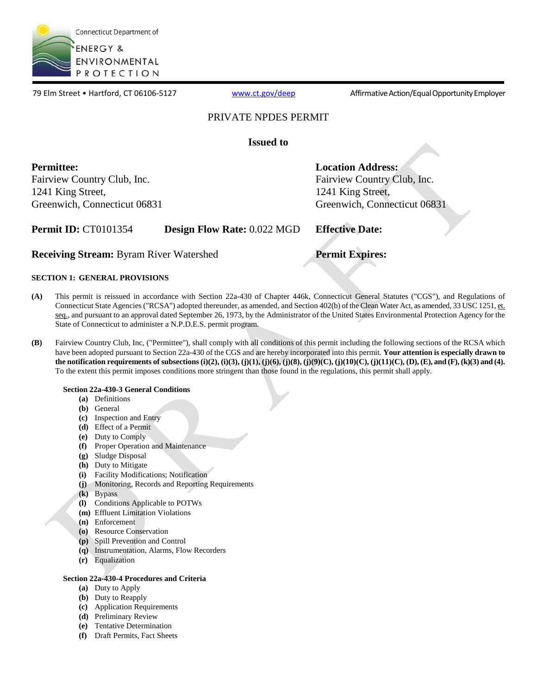

79 Elm Street • Hartford, CT 06106-5127 [www.ct.gov/deep](http://www.ct.gov/deep) Affirmative Action/Equal Opportunity Employer

### PRIVATE NPDES PERMIT

**Issued to** 

**Permittee:**  Fairview Country Club, Inc. 1241 King Street, Greenwich, Connecticut 06831 **Location Address:** 

Fairview Country Club, Inc. 1241 King Street, Greenwich, Connecticut 06831

**Permit ID:** CT0101354 **Design Flow Rate:** 0.022 MGD **Effective Date:** 

**Receiving Stream:** Byram River Watershed **Permit Expires:** 

### **SECTION 1: GENERAL PROVISIONS**

- **(A)** This permit is reissued in accordance with Section 22a-430 of Chapter 446k, Connecticut General Statutes ("CGS"), and Regulations of Connecticut State Agencies ("RCSA") adopted thereunder, as amended, and Section 402(b) of the Clean Water Act, as amended, 33 USC 1251, et. seq., and pursuant to an approval dated September 26, 1973, by the Administrator of the United States Environmental Protection Agency for the State of Connecticut to administer a N.P.D.E.S. permit program.
- **(B)** Fairview Country Club, Inc, ("Permittee"), shall comply with all conditions of this permit including the following sections of the RCSA which have been adopted pursuant to Section 22a-430 of the CGS and are hereby incorporated into this permit. **Your attention is especially drawn to the notification requirements of subsections (i)(2), (i)(3), (j)(1), (j)(6), (j)(8), (j)(9)(C), (j)(10)(C), (j)(11)(C), (D), (E), and (F), (k)(3) and (4).**  To the extent this permit imposes conditions more stringent than those found in the regulations, this permit shall apply.

### **Section 22a-430-3 General Conditions**

- **(a)** Definitions
- **(b)** General
- **(c)** Inspection and Entry
- **(d)** Effect of a Permit
- **(e)** Duty to Comply
- **(f)** Proper Operation and Maintenance
- **(g)** Sludge Disposal
- **(h)** Duty to Mitigate
- **(i)** Facility Modifications; Notification
- **(j)** Monitoring, Records and Reporting Requirements
- **(k)** Bypass
- **(l)** Conditions Applicable to POTWs
- **(m)** Effluent Limitation Violations
- **(n)** Enforcement
- **(o)** Resource Conservation
- **(p)** Spill Prevention and Control
- **(q)** Instrumentation, Alarms, Flow Recorders
- **(r)** Equalization

### **Section 22a-430-4 Procedures and Criteria**

- **(a)** Duty to Apply
- **(b)** Duty to Reapply
- **(c)** Application Requirements
- **(d)** Preliminary Review
- **(e)** Tentative Determination
- **(f)** Draft Permits, Fact Sheets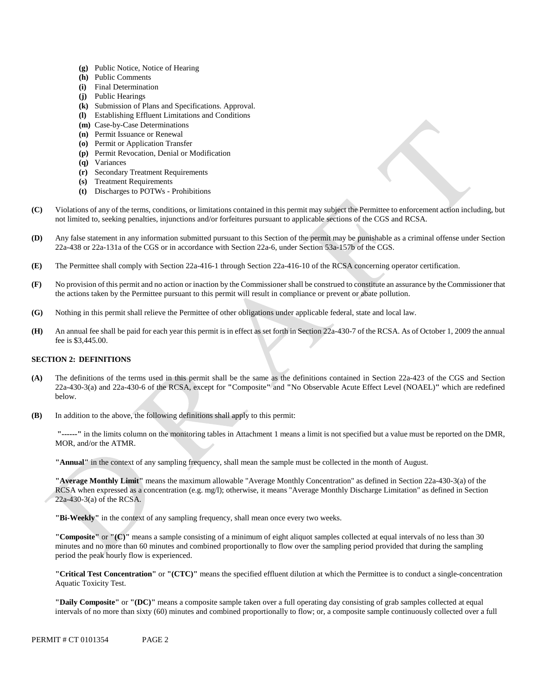- **(g)** Public Notice, Notice of Hearing
- **(h)** Public Comments
- **(i)** Final Determination
- **(j)** Public Hearings
- **(k)** Submission of Plans and Specifications. Approval.
- **(l)** Establishing Effluent Limitations and Conditions
- **(m)** Case-by-Case Determinations
- **(n)** Permit Issuance or Renewal
- **(o)** Permit or Application Transfer
- **(p)** Permit Revocation, Denial or Modification
- **(q)** Variances
- **(r)** Secondary Treatment Requirements
- **(s)** Treatment Requirements
- **(t)** Discharges to POTWs Prohibitions
- Violations of any of the terms, conditions, or limitations contained in this permit may subject the Permittee to enforcement action including, but not limited to, seeking penalties, injunctions and/or forfeitures pursuant to applicable sections of the CGS and RCSA. **(C)**
- 22a-438 or 22a-131a of the CGS or in accordance with Section 22a-6, under Section 53a-157b of the CGS. **(D)** Any false statement in any information submitted pursuant to this Section of the permit may be punishable as a criminal offense under Section
- The Permittee shall comply with Section 22a-416-1 through Section 22a-416-10 of the RCSA concerning operator certification. **(E)**
- **(F)** No provision of this permit and no action or inaction by the Commissioner shall be construed to constitute an assurance by the Commissioner that the actions taken by the Permittee pursuant to this permit will result in compliance or prevent or abate pollution.
- Nothing in this permit shall relieve the Permittee of other obligations under applicable federal, state and local law. **(G)**
- An annual fee shall be paid for each year this permit is in effect as set forth in Section 22a-430-7 of the RCSA. As of October 1, 2009 the annual **(H)**  fee is \$3,445.00.

#### **SECTION 2: DEFINITIONS**

- **(A)** The definitions of the terms used in this permit shall be the same as the definitions contained in Section 22a-423 of the CGS and Section 22a-430-3(a) and 22a-430-6 of the RCSA, except for **"**Composite**"** and **"**No Observable Acute Effect Level (NOAEL)**"** which are redefined below.
- **(B)** In addition to the above, the following definitions shall apply to this permit:

**"------"** in the limits column on the monitoring tables in Attachment 1 means a limit is not specified but a value must be reported on the DMR, MOR, and/or the ATMR.

**"Annual"** in the context of any sampling frequency, shall mean the sample must be collected in the month of August.

**"Average Monthly Limit"** means the maximum allowable "Average Monthly Concentration" as defined in Section 22a-430-3(a) of the RCSA when expressed as a concentration (e.g. mg/l); otherwise, it means "Average Monthly Discharge Limitation" as defined in Section 22a-430-3(a) of the RCSA.

**"Bi-Weekly"** in the context of any sampling frequency, shall mean once every two weeks.

**"Composite"** or **"(C)"** means a sample consisting of a minimum of eight aliquot samples collected at equal intervals of no less than 30 minutes and no more than 60 minutes and combined proportionally to flow over the sampling period provided that during the sampling period the peak hourly flow is experienced.

**"Critical Test Concentration"** or **"(CTC)"** means the specified effluent dilution at which the Permittee is to conduct a single-concentration Aquatic Toxicity Test.

**"Daily Composite"** or **"(DC)"** means a composite sample taken over a full operating day consisting of grab samples collected at equal intervals of no more than sixty (60) minutes and combined proportionally to flow; or, a composite sample continuously collected over a full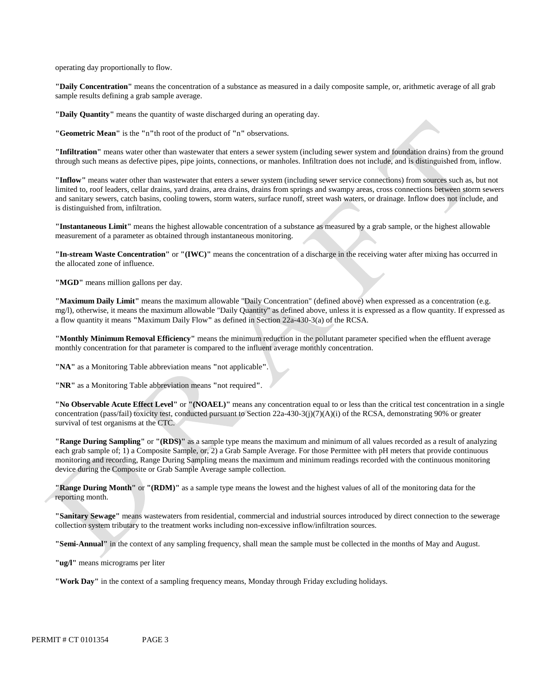operating day proportionally to flow.

**"Daily Concentration"** means the concentration of a substance as measured in a daily composite sample, or, arithmetic average of all grab sample results defining a grab sample average.

**"Daily Quantity"** means the quantity of waste discharged during an operating day.

**"Geometric Mean"** is the **"**n**"**th root of the product of **"**n**"** observations.

**"Infiltration"** means water other than wastewater that enters a sewer system (including sewer system and foundation drains) from the ground through such means as defective pipes, pipe joints, connections, or manholes. Infiltration does not include, and is distinguished from, inflow.

**"Inflow"** means water other than wastewater that enters a sewer system (including sewer service connections) from sources such as, but not limited to, roof leaders, cellar drains, yard drains, area drains, drains from springs and swampy areas, cross connections between storm sewers and sanitary sewers, catch basins, cooling towers, storm waters, surface runoff, street wash waters, or drainage. Inflow does not include, and is distinguished from, infiltration.

**"Instantaneous Limit"** means the highest allowable concentration of a substance as measured by a grab sample, or the highest allowable measurement of a parameter as obtained through instantaneous monitoring.

**"In-stream Waste Concentration"** or **"(IWC)"** means the concentration of a discharge in the receiving water after mixing has occurred in the allocated zone of influence.

**"MGD"** means million gallons per day.

**"Maximum Daily Limit"** means the maximum allowable "Daily Concentration" (defined above) when expressed as a concentration (e.g. mg/l), otherwise, it means the maximum allowable "Daily Quantity" as defined above, unless it is expressed as a flow quantity. If expressed as a flow quantity it means **"**Maximum Daily Flow**"** as defined in Section 22a-430-3(a) of the RCSA.

**"Monthly Minimum Removal Efficiency"** means the minimum reduction in the pollutant parameter specified when the effluent average monthly concentration for that parameter is compared to the influent average monthly concentration.

**"NA"** as a Monitoring Table abbreviation means **"**not applicable**"**.

**"NR"** as a Monitoring Table abbreviation means **"**not required**"**.

**"No Observable Acute Effect Level"** or **"(NOAEL)"** means any concentration equal to or less than the critical test concentration in a single concentration (pass/fail) toxicity test, conducted pursuant to Section 22a-430-3(j)(7)(A)(i) of the RCSA, demonstrating 90% or greater survival of test organisms at the CTC.

**"Range During Sampling"** or **"(RDS)"** as a sample type means the maximum and minimum of all values recorded as a result of analyzing each grab sample of; 1) a Composite Sample, or, 2) a Grab Sample Average. For those Permittee with pH meters that provide continuous monitoring and recording, Range During Sampling means the maximum and minimum readings recorded with the continuous monitoring device during the Composite or Grab Sample Average sample collection.

**"Range During Month"** or **"(RDM)"** as a sample type means the lowest and the highest values of all of the monitoring data for the reporting month.

**"Sanitary Sewage"** means wastewaters from residential, commercial and industrial sources introduced by direct connection to the sewerage collection system tributary to the treatment works including non-excessive inflow/infiltration sources.

**"Semi-Annual"** in the context of any sampling frequency, shall mean the sample must be collected in the months of May and August.

**"ug/l"** means micrograms per liter

**"Work Day"** in the context of a sampling frequency means, Monday through Friday excluding holidays.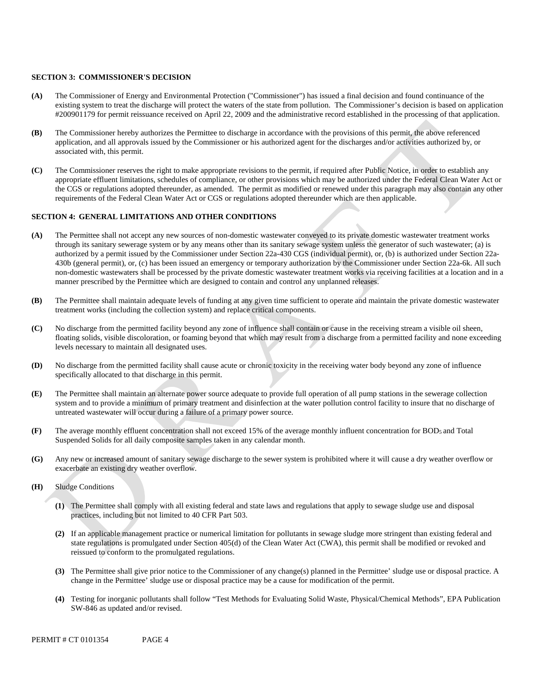#### **SECTION 3: COMMISSIONER'S DECISION**

- **(A)** The Commissioner of Energy and Environmental Protection ("Commissioner") has issued a final decision and found continuance of the existing system to treat the discharge will protect the waters of the state from pollution. The Commissioner's decision is based on application #200901179 for permit reissuance received on April 22, 2009 and the administrative record established in the processing of that application.
- **(B)** The Commissioner hereby authorizes the Permittee to discharge in accordance with the provisions of this permit, the above referenced application, and all approvals issued by the Commissioner or his authorized agent for the discharges and/or activities authorized by, or associated with, this permit.
- **(C)** The Commissioner reserves the right to make appropriate revisions to the permit, if required after Public Notice, in order to establish any appropriate effluent limitations, schedules of compliance, or other provisions which may be authorized under the Federal Clean Water Act or the CGS or regulations adopted thereunder, as amended. The permit as modified or renewed under this paragraph may also contain any other requirements of the Federal Clean Water Act or CGS or regulations adopted thereunder which are then applicable.

### **SECTION 4: GENERAL LIMITATIONS AND OTHER CONDITIONS**

- **(A)** The Permittee shall not accept any new sources of non-domestic wastewater conveyed to its private domestic wastewater treatment works through its sanitary sewerage system or by any means other than its sanitary sewage system unless the generator of such wastewater; (a) is authorized by a permit issued by the Commissioner under Section 22a-430 CGS (individual permit), or, (b) is authorized under Section 22a-430b (general permit), or, (c) has been issued an emergency or temporary authorization by the Commissioner under Section 22a-6k. All such non-domestic wastewaters shall be processed by the private domestic wastewater treatment works via receiving facilities at a location and in a manner prescribed by the Permittee which are designed to contain and control any unplanned releases.
- **(B)** The Permittee shall maintain adequate levels of funding at any given time sufficient to operate and maintain the private domestic wastewater treatment works (including the collection system) and replace critical components.
- **(C)** No discharge from the permitted facility beyond any zone of influence shall contain or cause in the receiving stream a visible oil sheen, floating solids, visible discoloration, or foaming beyond that which may result from a discharge from a permitted facility and none exceeding levels necessary to maintain all designated uses.
- **(D)** No discharge from the permitted facility shall cause acute or chronic toxicity in the receiving water body beyond any zone of influence specifically allocated to that discharge in this permit.
- **(E)** The Permittee shall maintain an alternate power source adequate to provide full operation of all pump stations in the sewerage collection system and to provide a minimum of primary treatment and disinfection at the water pollution control facility to insure that no discharge of untreated wastewater will occur during a failure of a primary power source.
- **(F)** The average monthly effluent concentration shall not exceed 15% of the average monthly influent concentration for BOD5 and Total Suspended Solids for all daily composite samples taken in any calendar month.
- **(G)** Any new or increased amount of sanitary sewage discharge to the sewer system is prohibited where it will cause a dry weather overflow or exacerbate an existing dry weather overflow.
- **(H)** Sludge Conditions
	- **(1)** The Permittee shall comply with all existing federal and state laws and regulations that apply to sewage sludge use and disposal practices, including but not limited to 40 CFR Part 503.
	- **(2)** If an applicable management practice or numerical limitation for pollutants in sewage sludge more stringent than existing federal and state regulations is promulgated under Section 405(d) of the Clean Water Act (CWA), this permit shall be modified or revoked and reissued to conform to the promulgated regulations.
	- **(3)** The Permittee shall give prior notice to the Commissioner of any change(s) planned in the Permittee' sludge use or disposal practice. A change in the Permittee' sludge use or disposal practice may be a cause for modification of the permit.
	- **(4)** Testing for inorganic pollutants shall follow "Test Methods for Evaluating Solid Waste, Physical/Chemical Methods", EPA Publication SW-846 as updated and/or revised.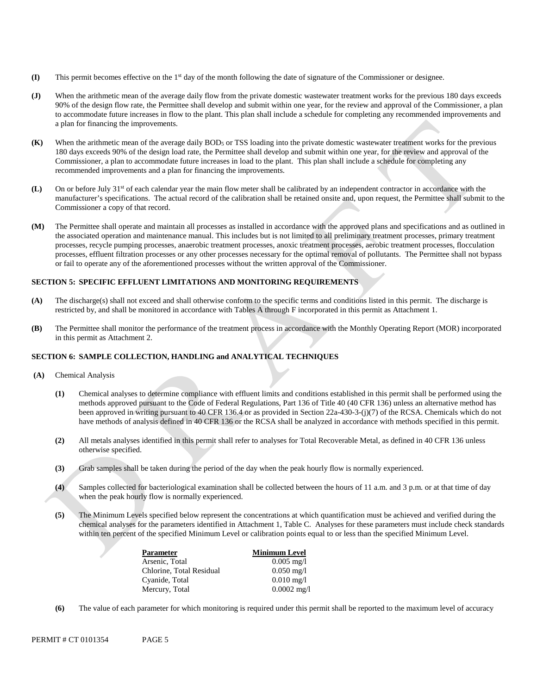- **(I)** This permit becomes effective on the 1st day of the month following the date of signature of the Commissioner or designee.
- a plan for financing the improvements. 90% of the design flow rate, the Permittee shall develop and submit within one year, for the review and approval of the Commissioner, a plan to accommodate future increases in flow to the plant. This plan shall include a schedule for completing any recommended improvements and
- **(K)** When the arithmetic mean of the average daily BOD5 or TSS loading into the private domestic wastewater treatment works for the previous 180 days exceeds 90% of the design load rate, the Permittee shall develop and submit within one year, for the review and approval of the Commissioner, a plan to accommodate future increases in load to the plant. This plan shall include a schedule for completing any recommended improvements and a plan for financing the improvements.
- (L) On or before July 31<sup>st</sup> of each calendar year the main flow meter shall be calibrated by an independent contractor in accordance with the manufacturer's specifications. The actual record of the calibration shall be retained onsite and, upon request, the Permittee shall submit to the Commissioner a copy of that record.
- or fail to operate any of the aforementioned processes without the written approval of the Commissioner. (J)<br>When the arithmetic mean of the average daily flow from the private domestic wastewater treatment works for the previous 180 days exceeds<br>90% of the design flow rate, the Permittee shall develop and submit within one **(M)** The Permittee shall operate and maintain all processes as installed in accordance with the approved plans and specifications and as outlined in the associated operation and maintenance manual. This includes but is not limited to all preliminary treatment processes, primary treatment processes, recycle pumping processes, anaerobic treatment processes, anoxic treatment processes, aerobic treatment processes, flocculation processes, effluent filtration processes or any other processes necessary for the optimal removal of pollutants. The Permittee shall not bypass

#### **SECTION 5: SPECIFIC EFFLUENT LIMITATIONS AND MONITORING REQUIREMENTS**

- **(A)** The discharge(s) shall not exceed and shall otherwise conform to the specific terms and conditions listed in this permit. The discharge is restricted by, and shall be monitored in accordance with Tables A through F incorporated in this permit as Attachment 1.
- **(B)** The Permittee shall monitor the performance of the treatment process in accordance with the Monthly Operating Report (MOR) incorporated in this permit as Attachment 2.

#### **SECTION 6: SAMPLE COLLECTION, HANDLING and ANALYTICAL TECHNIQUES**

- **(A)** Chemical Analysis
	- **(1)** Chemical analyses to determine compliance with effluent limits and conditions established in this permit shall be performed using the methods approved pursuant to the Code of Federal Regulations, Part 136 of Title 40 (40 CFR 136) unless an alternative method has been approved in writing pursuant to 40 CFR 136.4 or as provided in Section 22a-430-3-(j)(7) of the RCSA. Chemicals which do not have methods of analysis defined in 40 CFR 136 or the RCSA shall be analyzed in accordance with methods specified in this permit.
	- **(2)** All metals analyses identified in this permit shall refer to analyses for Total Recoverable Metal, as defined in 40 CFR 136 unless otherwise specified.
	- **(3)** Grab samples shall be taken during the period of the day when the peak hourly flow is normally experienced.
	- **(4)** Samples collected for bacteriological examination shall be collected between the hours of 11 a.m. and 3 p.m. or at that time of day when the peak hourly flow is normally experienced.
	- **(5)** The Minimum Levels specified below represent the concentrations at which quantification must be achieved and verified during the chemical analyses for the parameters identified in Attachment 1, Table C. Analyses for these parameters must include check standards within ten percent of the specified Minimum Level or calibration points equal to or less than the specified Minimum Level.

| Parameter                | <b>Minimum Level</b>    |
|--------------------------|-------------------------|
| Arsenic, Total           | $0.005 \text{ mg}/1$    |
| Chlorine, Total Residual | $0.050 \,\mathrm{mg}/l$ |
| Cyanide, Total           | $0.010 \,\mathrm{mg}/l$ |
| Mercury, Total           | $0.0002$ mg/l           |

**(6)** The value of each parameter for which monitoring is required under this permit shall be reported to the maximum level of accuracy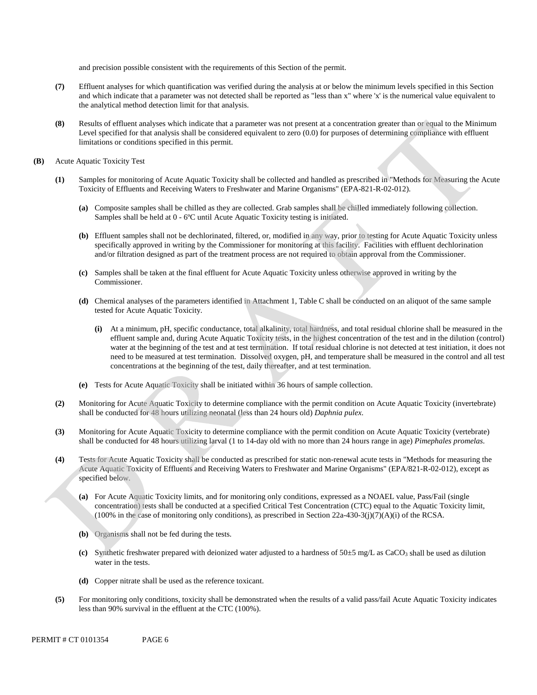and precision possible consistent with the requirements of this Section of the permit.

- **(7)** Effluent analyses for which quantification was verified during the analysis at or below the minimum levels specified in this Section and which indicate that a parameter was not detected shall be reported as "less than x" where 'x' is the numerical value equivalent to the analytical method detection limit for that analysis.
- **(8)** Results of effluent analyses which indicate that a parameter was not present at a concentration greater than or equal to the Minimum Level specified for that analysis shall be considered equivalent to zero (0.0) for purposes of determining compliance with effluent limitations or conditions specified in this permit.
- **(B)** Acute Aquatic Toxicity Test
	- **(1)** Samples for monitoring of Acute Aquatic Toxicity shall be collected and handled as prescribed in "Methods for Measuring the Acute Toxicity of Effluents and Receiving Waters to Freshwater and Marine Organisms" (EPA-821-R-02-012).
		- **(a)** Composite samples shall be chilled as they are collected. Grab samples shall be chilled immediately following collection. Samples shall be held at 0 - 6ºC until Acute Aquatic Toxicity testing is initiated.
		- **(b)** Effluent samples shall not be dechlorinated, filtered, or, modified in any way, prior to testing for Acute Aquatic Toxicity unless specifically approved in writing by the Commissioner for monitoring at this facility. Facilities with effluent dechlorination and/or filtration designed as part of the treatment process are not required to obtain approval from the Commissioner.
		- **(c)** Samples shall be taken at the final effluent for Acute Aquatic Toxicity unless otherwise approved in writing by the Commissioner.
		- **(d)** Chemical analyses of the parameters identified in Attachment 1, Table C shall be conducted on an aliquot of the same sample tested for Acute Aquatic Toxicity.
			- **(i)** At a minimum, pH, specific conductance, total alkalinity, total hardness, and total residual chlorine shall be measured in the effluent sample and, during Acute Aquatic Toxicity tests, in the highest concentration of the test and in the dilution (control) water at the beginning of the test and at test termination. If total residual chlorine is not detected at test initiation, it does not need to be measured at test termination. Dissolved oxygen, pH, and temperature shall be measured in the control and all test concentrations at the beginning of the test, daily thereafter, and at test termination.
		- **(e)** Tests for Acute Aquatic Toxicity shall be initiated within 36 hours of sample collection.
	- **(2)** Monitoring for Acute Aquatic Toxicity to determine compliance with the permit condition on Acute Aquatic Toxicity (invertebrate) shall be conducted for 48 hours utilizing neonatal (less than 24 hours old) *Daphnia pulex*.
	- **(3)** Monitoring for Acute Aquatic Toxicity to determine compliance with the permit condition on Acute Aquatic Toxicity (vertebrate) shall be conducted for 48 hours utilizing larval (1 to 14-day old with no more than 24 hours range in age) *Pimephales promelas*.
	- **(4)** Tests for Acute Aquatic Toxicity shall be conducted as prescribed for static non-renewal acute tests in "Methods for measuring the Acute Aquatic Toxicity of Effluents and Receiving Waters to Freshwater and Marine Organisms" (EPA/821-R-02-012), except as specified below.
		- **(a)** For Acute Aquatic Toxicity limits, and for monitoring only conditions, expressed as a NOAEL value, Pass/Fail (single concentration) tests shall be conducted at a specified Critical Test Concentration (CTC) equal to the Aquatic Toxicity limit,  $(100\%$  in the case of monitoring only conditions), as prescribed in Section 22a-430-3(j)(7)(A)(i) of the RCSA.
		- **(b)** Organisms shall not be fed during the tests.
		- **(c)** Synthetic freshwater prepared with deionized water adjusted to a hardness of 50±5 mg/L as CaCO3 shall be used as dilution water in the tests.
		- **(d)** Copper nitrate shall be used as the reference toxicant.
	- **(5)** For monitoring only conditions, toxicity shall be demonstrated when the results of a valid pass/fail Acute Aquatic Toxicity indicates less than 90% survival in the effluent at the CTC (100%).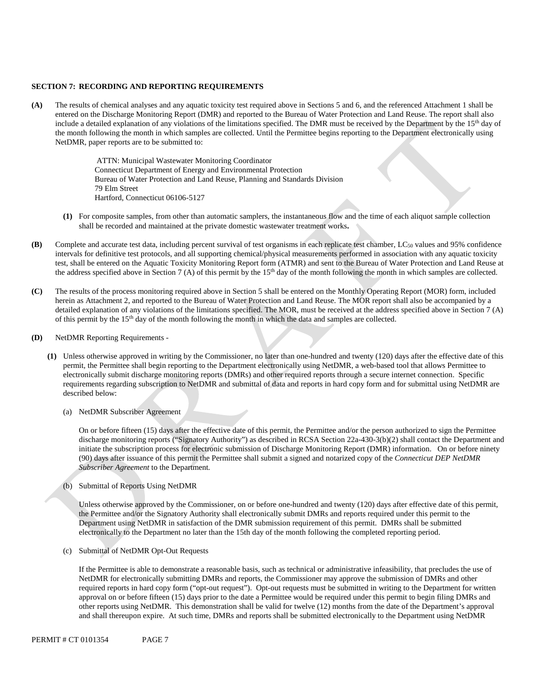#### **SECTION 7: RECORDING AND REPORTING REQUIREMENTS**

**(A)** The results of chemical analyses and any aquatic toxicity test required above in Sections 5 and 6, and the referenced Attachment 1 shall be entered on the Discharge Monitoring Report (DMR) and reported to the Bureau of Water Protection and Land Reuse. The report shall also include a detailed explanation of any violations of the limitations specified. The DMR must be received by the Department by the 15<sup>th</sup> day of the month following the month in which samples are collected. Until the Permittee begins reporting to the Department electronically using NetDMR, paper reports are to be submitted to:

> ATTN: Municipal Wastewater Monitoring Coordinator Connecticut Department of Energy and Environmental Protection Bureau of Water Protection and Land Reuse, Planning and Standards Division 79 Elm Street Hartford, Connecticut 06106-5127

- **(1)** For composite samples, from other than automatic samplers, the instantaneous flow and the time of each aliquot sample collection shall be recorded and maintained at the private domestic wastewater treatment works**.**
- **(B)** Complete and accurate test data, including percent survival of test organisms in each replicate test chamber, LC<sub>50</sub> values and 95% confidence intervals for definitive test protocols, and all supporting chemical/physical measurements performed in association with any aquatic toxicity test, shall be entered on the Aquatic Toxicity Monitoring Report form (ATMR) and sent to the Bureau of Water Protection and Land Reuse at the address specified above in Section 7 (A) of this permit by the  $15<sup>th</sup>$  day of the month following the month in which samples are collected.
- **(C)** The results of the process monitoring required above in Section 5 shall be entered on the Monthly Operating Report (MOR) form, included herein as Attachment 2, and reported to the Bureau of Water Protection and Land Reuse. The MOR report shall also be accompanied by a detailed explanation of any violations of the limitations specified. The MOR, must be received at the address specified above in Section 7 (A) of this permit by the 15th day of the month following the month in which the data and samples are collected.
- **(D)** NetDMR Reporting Requirements
	- **(1)** Unless otherwise approved in writing by the Commissioner, no later than one-hundred and twenty (120) days after the effective date of this permit, the Permittee shall begin reporting to the Department electronically using NetDMR, a web-based tool that allows Permittee to electronically submit discharge monitoring reports (DMRs) and other required reports through a secure internet connection. Specific requirements regarding subscription to NetDMR and submittal of data and reports in hard copy form and for submittal using NetDMR are described below:
		- (a) NetDMR Subscriber Agreement

On or before fifteen (15) days after the effective date of this permit, the Permittee and/or the person authorized to sign the Permittee discharge monitoring reports ("Signatory Authority") as described in RCSA Section 22a-430-3(b)(2) shall contact the Department and initiate the subscription process for electronic submission of Discharge Monitoring Report (DMR) information. On or before ninety (90) days after issuance of this permit the Permittee shall submit a signed and notarized copy of the *Connecticut DEP NetDMR Subscriber Agreement* to the Department*.* 

(b) Submittal of Reports Using NetDMR

Unless otherwise approved by the Commissioner, on or before one-hundred and twenty (120) days after effective date of this permit, the Permittee and/or the Signatory Authority shall electronically submit DMRs and reports required under this permit to the Department using NetDMR in satisfaction of the DMR submission requirement of this permit. DMRs shall be submitted electronically to the Department no later than the 15th day of the month following the completed reporting period.

(c) Submittal of NetDMR Opt-Out Requests

 required reports in hard copy form ("opt-out request"). Opt-out requests must be submitted in writing to the Department for written other reports using NetDMR. This demonstration shall be valid for twelve (12) months from the date of the Department's approval and shall thereupon expire. At such time, DMRs and reports shall be submitted electronically to the Department using NetDMR If the Permittee is able to demonstrate a reasonable basis, such as technical or administrative infeasibility, that precludes the use of NetDMR for electronically submitting DMRs and reports, the Commissioner may approve the submission of DMRs and other approval on or before fifteen (15) days prior to the date a Permittee would be required under this permit to begin filing DMRs and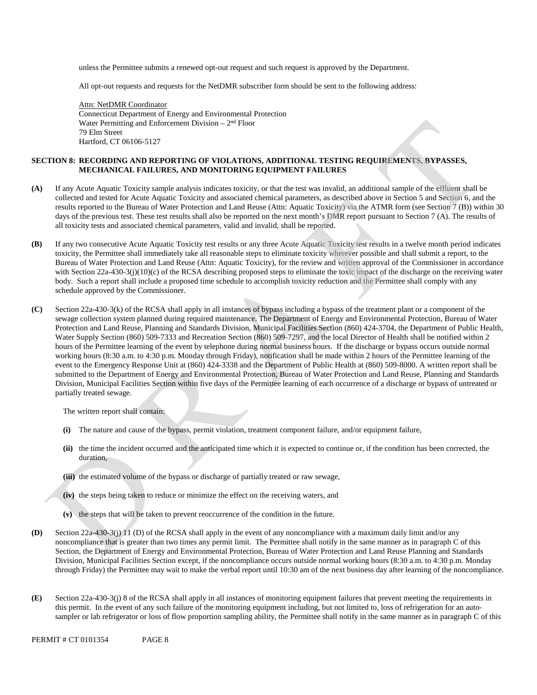unless the Permittee submits a renewed opt-out request and such request is approved by the Department.

All opt-out requests and requests for the NetDMR subscriber form should be sent to the following address:

Water Permitting and Enforcement Division  $-2<sup>nd</sup>$  Floor Attn: NetDMR Coordinator Connecticut Department of Energy and Environmental Protection 79 Elm Street Hartford, CT 06106-5127

### **SECTION 8: RECORDING AND REPORTING OF VIOLATIONS, ADDITIONAL TESTING REQUIREMENTS, BYPASSES, MECHANICAL FAILURES, AND MONITORING EQUIPMENT FAILURES**

- **(A)** If any Acute Aquatic Toxicity sample analysis indicates toxicity, or that the test was invalid, an additional sample of the effluent shall be collected and tested for Acute Aquatic Toxicity and associated chemical parameters, as described above in Section 5 and Section 6, and the results reported to the Bureau of Water Protection and Land Reuse (Attn: Aquatic Toxicity) via the ATMR form (see Section 7 (B)) within 30 days of the previous test. These test results shall also be reported on the next month's DMR report pursuant to Section 7 (A). The results of all toxicity tests and associated chemical parameters, valid and invalid, shall be reported.
- **(B)** If any two consecutive Acute Aquatic Toxicity test results or any three Acute Aquatic Toxicity test results in a twelve month period indicates toxicity, the Permittee shall immediately take all reasonable steps to eliminate toxicity wherever possible and shall submit a report, to the Bureau of Water Protection and Land Reuse (Attn: Aquatic Toxicity), for the review and written approval of the Commissioner in accordance with Section 22a-430-3(j)(10)(c) of the RCSA describing proposed steps to eliminate the toxic impact of the discharge on the receiving water body. Such a report shall include a proposed time schedule to accomplish toxicity reduction and the Permittee shall comply with any schedule approved by the Commissioner.
- partially treated sewage. **(C)** Section 22a-430-3(k) of the RCSA shall apply in all instances of bypass including a bypass of the treatment plant or a component of the sewage collection system planned during required maintenance. The Department of Energy and Environmental Protection, Bureau of Water Protection and Land Reuse, Planning and Standards Division, Municipal Facilities Section (860) 424-3704, the Department of Public Health, Water Supply Section (860) 509-7333 and Recreation Section (860) 509-7297, and the local Director of Health shall be notified within 2 hours of the Permittee learning of the event by telephone during normal business hours. If the discharge or bypass occurs outside normal working hours (8:30 a.m. to 4:30 p.m. Monday through Friday), notification shall be made within 2 hours of the Permittee learning of the event to the Emergency Response Unit at (860) 424-3338 and the Department of Public Health at (860) 509-8000. A written report shall be submitted to the Department of Energy and Environmental Protection, Bureau of Water Protection and Land Reuse, Planning and Standards Division, Municipal Facilities Section within five days of the Permittee learning of each occurrence of a discharge or bypass of untreated or

The written report shall contain:

- **(i)** The nature and cause of the bypass, permit violation, treatment component failure, and/or equipment failure,
- **(ii)** the time the incident occurred and the anticipated time which it is expected to continue or, if the condition has been corrected, the duration,
- **(iii)** the estimated volume of the bypass or discharge of partially treated or raw sewage,
- **(iv)** the steps being taken to reduce or minimize the effect on the receiving waters, and
- **(v)** the steps that will be taken to prevent reoccurrence of the condition in the future.
- **(D)** Section 22a-430-3(j) 11 (D) of the RCSA shall apply in the event of any noncompliance with a maximum daily limit and/or any noncompliance that is greater than two times any permit limit. The Permittee shall notify in the same manner as in paragraph C of this Section, the Department of Energy and Environmental Protection, Bureau of Water Protection and Land Reuse Planning and Standards Division, Municipal Facilities Section except, if the noncompliance occurs outside normal working hours (8:30 a.m. to 4:30 p.m. Monday through Friday) the Permittee may wait to make the verbal report until 10:30 am of the next business day after learning of the noncompliance.
- **(E)** Section 22a-430-3(j) 8 of the RCSA shall apply in all instances of monitoring equipment failures that prevent meeting the requirements in this permit. In the event of any such failure of the monitoring equipment including, but not limited to, loss of refrigeration for an autosampler or lab refrigerator or loss of flow proportion sampling ability, the Permittee shall notify in the same manner as in paragraph C of this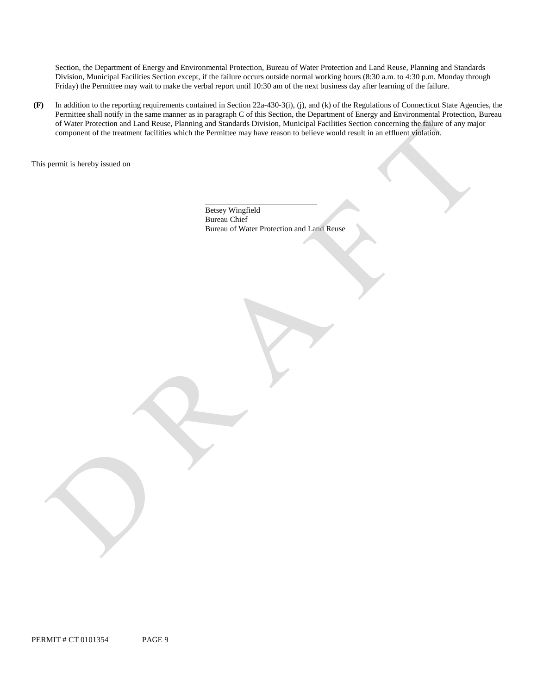Friday) the Permittee may wait to make the verbal report until 10:30 am of the next business day after learning of the failure. Section, the Department of Energy and Environmental Protection, Bureau of Water Protection and Land Reuse, Planning and Standards Division, Municipal Facilities Section except, if the failure occurs outside normal working hours (8:30 a.m. to 4:30 p.m. Monday through

 component of the treatment facilities which the Permittee may have reason to believe would result in an effluent violation. This permit is hereby issued on **(F)** In addition to the reporting requirements contained in Section 22a-430-3(i), (j), and (k) of the Regulations of Connecticut State Agencies, the Permittee shall notify in the same manner as in paragraph C of this Section, the Department of Energy and Environmental Protection, Bureau of Water Protection and Land Reuse, Planning and Standards Division, Municipal Facilities Section concerning the failure of any major

Betsey Wingfield Bureau Chief Bureau of Water Protection and Land Reuse

\_\_\_\_\_\_\_\_\_\_\_\_\_\_\_\_\_\_\_\_\_\_\_\_\_\_\_\_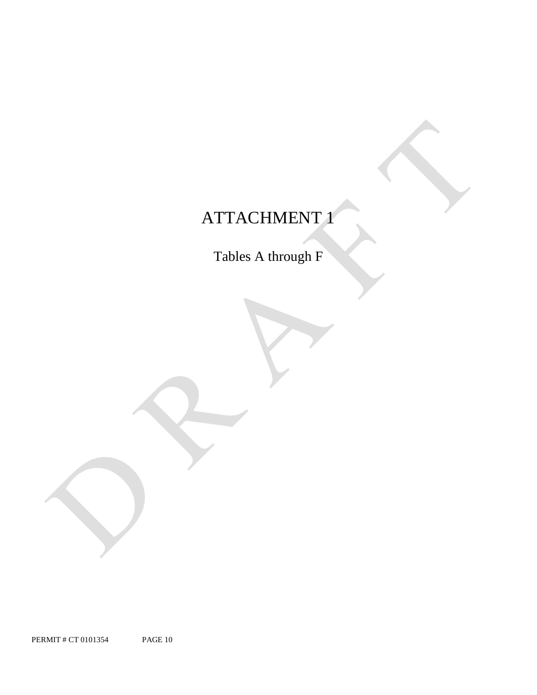# ATTACHMENT 1

Tables A through F

PERMIT # CT 0101354 PAGE 10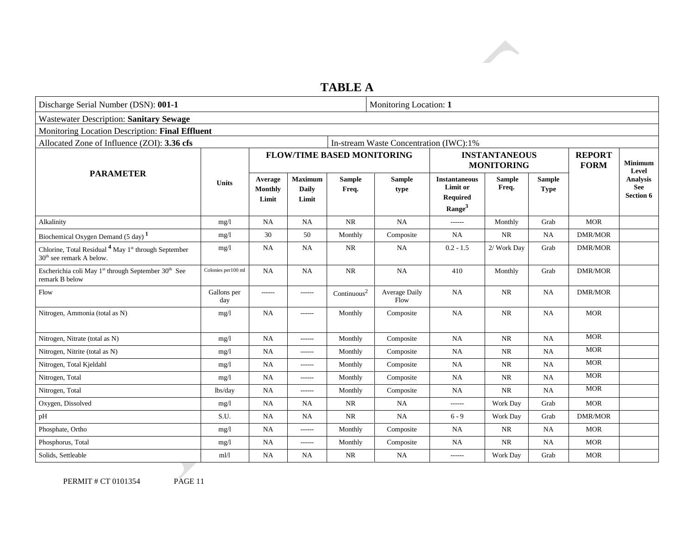

# **TABLE A**

| Discharge Serial Number (DSN): 001-1                                                                                |                     | Monitoring Location: 1             |                                         |                                   |                                        |                                                                           |                                           |                              |                              |                                                         |
|---------------------------------------------------------------------------------------------------------------------|---------------------|------------------------------------|-----------------------------------------|-----------------------------------|----------------------------------------|---------------------------------------------------------------------------|-------------------------------------------|------------------------------|------------------------------|---------------------------------------------------------|
| <b>Wastewater Description: Sanitary Sewage</b>                                                                      |                     |                                    |                                         |                                   |                                        |                                                                           |                                           |                              |                              |                                                         |
| Monitoring Location Description: Final Effluent                                                                     |                     |                                    |                                         |                                   |                                        |                                                                           |                                           |                              |                              |                                                         |
| Allocated Zone of Influence (ZOI): 3.36 cfs                                                                         |                     |                                    |                                         |                                   | In-stream Waste Concentration (IWC):1% |                                                                           |                                           |                              |                              |                                                         |
|                                                                                                                     |                     |                                    |                                         | <b>FLOW/TIME BASED MONITORING</b> |                                        |                                                                           | <b>INSTANTANEOUS</b><br><b>MONITORING</b> |                              | <b>REPORT</b><br><b>FORM</b> | <b>Minimum</b><br>Level<br>Analysis<br>See<br>Section 6 |
| <b>PARAMETER</b>                                                                                                    | <b>Units</b>        | Average<br><b>Monthly</b><br>Limit | <b>Maximum</b><br><b>Daily</b><br>Limit | <b>Sample</b><br>Freq.            | <b>Sample</b><br>type                  | <b>Instantaneous</b><br>Limit or<br><b>Required</b><br>Range <sup>3</sup> | <b>Sample</b><br>Freq.                    | <b>Sample</b><br><b>Type</b> |                              |                                                         |
| Alkalinity                                                                                                          | mg/1                | NA                                 | <b>NA</b>                               | $\rm NR$                          | <b>NA</b>                              | $- - - - - -$                                                             | Monthly                                   | Grab                         | <b>MOR</b>                   |                                                         |
| Biochemical Oxygen Demand (5 day) <sup>1</sup>                                                                      | mg/1                | 30                                 | 50                                      | Monthly                           | Composite                              | NA                                                                        | <b>NR</b>                                 | NA                           | <b>DMR/MOR</b>               |                                                         |
| Chlorine, Total Residual <sup>4</sup> May 1 <sup>st</sup> through September<br>30 <sup>th</sup> see remark A below. | mg/1                | NA                                 | NA                                      | NR                                | NA                                     | $0.2 - 1.5$                                                               | 2/ Work Day                               | Grab                         | <b>DMR/MOR</b>               |                                                         |
| Escherichia coli May 1 <sup>st</sup> through September 30 <sup>th</sup> See<br>remark B below                       | Colonies per 100 ml | NA                                 | NA                                      | $\rm NR$                          | <b>NA</b>                              | 410                                                                       | Monthly                                   | Grab                         | <b>DMR/MOR</b>               |                                                         |
| Flow                                                                                                                | Gallons per<br>day  | ------                             | ------                                  | $\text{Continuous}^2$             | Average Daily<br>Flow                  | <b>NA</b>                                                                 | $\rm NR$                                  | NA                           | <b>DMR/MOR</b>               |                                                         |
| Nitrogen, Ammonia (total as N)                                                                                      | mg/l                | <b>NA</b>                          | $-----$                                 | Monthly                           | Composite                              | <b>NA</b>                                                                 | $\rm NR$                                  | NA                           | <b>MOR</b>                   |                                                         |
| Nitrogen, Nitrate (total as N)                                                                                      | mg/1                | NA                                 | ------                                  | Monthly                           | Composite                              | NA                                                                        | <b>NR</b>                                 | NA                           | <b>MOR</b>                   |                                                         |
| Nitrogen, Nitrite (total as N)                                                                                      | mg/1                | <b>NA</b>                          | $-----$                                 | Monthly                           | Composite                              | <b>NA</b>                                                                 | <b>NR</b>                                 | <b>NA</b>                    | <b>MOR</b>                   |                                                         |
| Nitrogen, Total Kjeldahl                                                                                            | mg/1                | <b>NA</b>                          | $-----$                                 | Monthly                           | Composite                              | <b>NA</b>                                                                 | NR                                        | NA                           | <b>MOR</b>                   |                                                         |
| Nitrogen, Total                                                                                                     | mg/1                | NA                                 | $-----$                                 | Monthly                           | Composite                              | <b>NA</b>                                                                 | <b>NR</b>                                 | <b>NA</b>                    | <b>MOR</b>                   |                                                         |
| Nitrogen, Total                                                                                                     | lbs/day             | <b>NA</b>                          | $-----$                                 | Monthly                           | Composite                              | <b>NA</b>                                                                 | NR                                        | NA                           | <b>MOR</b>                   |                                                         |
| Oxygen, Dissolved                                                                                                   | mg/1                | NA                                 | <b>NA</b>                               | NR                                | <b>NA</b>                              | $-----$                                                                   | Work Day                                  | Grab                         | <b>MOR</b>                   |                                                         |
| pH                                                                                                                  | S.U.                | NA                                 | <b>NA</b>                               | NR                                | NA                                     | $6 - 9$                                                                   | Work Day                                  | Grab                         | <b>DMR/MOR</b>               |                                                         |
| Phosphate, Ortho                                                                                                    | mg/1                | <b>NA</b>                          | ------                                  | Monthly                           | Composite                              | <b>NA</b>                                                                 | <b>NR</b>                                 | <b>NA</b>                    | <b>MOR</b>                   |                                                         |
| Phosphorus, Total                                                                                                   | mg/1                | NA                                 | ------                                  | Monthly                           | Composite                              | <b>NA</b>                                                                 | <b>NR</b>                                 | <b>NA</b>                    | <b>MOR</b>                   |                                                         |
| Solids, Settleable                                                                                                  | m1/1                | NA                                 | NA                                      | <b>NR</b>                         | <b>NA</b>                              | ------                                                                    | Work Day                                  | Grab                         | <b>MOR</b>                   |                                                         |

PERMIT # CT 0101354 PAGE 11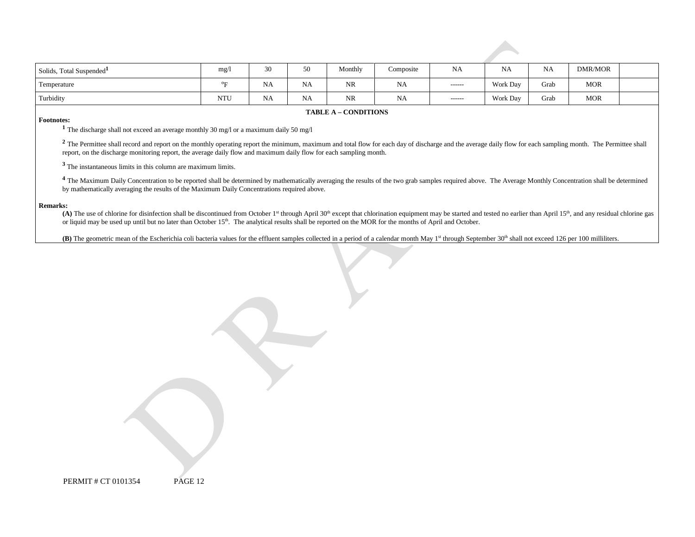| Solids, Total Suspended <sup>1</sup> | mg/        | -311<br>IJΨ | 50        | Monthly   | Composite | <b>NA</b><br>and the contract of the con- | NA<br>the contract of the con- | NA   | DMR/MOR    |  |
|--------------------------------------|------------|-------------|-----------|-----------|-----------|-------------------------------------------|--------------------------------|------|------------|--|
| Temperature                          | $^{\circ}$ | NA          | <b>NA</b> | <b>NR</b> | <b>NA</b> | -------                                   | Work Day                       | Grab | <b>MOR</b> |  |
| Turbidity                            | <b>NTU</b> | NA          | <b>NA</b> | <b>NR</b> | <b>NA</b> | $- - - - - -$                             | Work Day                       | Grab | <b>MOR</b> |  |

#### **TABLE A – CONDITIONS**

**Footnotes:** <sup>1</sup> The discharge shall not exceed an average monthly 30 mg/l or a maximum daily 50 mg/l

 report, on the discharge monitoring report, the average daily flow and maximum daily flow for each sampling month. <sup>2</sup> The Permittee shall record and report on the monthly operating report the minimum, maximum and total flow for each day of discharge and the average daily flow for each sampling month. The Permittee shall

**<sup>3</sup>**The instantaneous limits in this column are maximum limits.

<sup>4</sup> The Maximum Daily Concentration to be reported shall be determined by mathematically averaging the results of the two grab samples required above. The Average Monthly Concentration shall be determined by mathematically averaging the results of the Maximum Daily Concentrations required above.

#### **Remarks:**

(A) The use of chlorine for disinfection shall be discontinued from October 1<sup>st</sup> through April 30<sup>th</sup> except that chlorination equipment may be started and tested no earlier than April 15<sup>th</sup>, and any residual chlorine ga or liquid may be used up until but no later than October 15<sup>th</sup>. The analytical results shall be reported on the MOR for the months of April and October.

(B) The geometric mean of the Escherichia coli bacteria values for the effluent samples collected in a period of a calendar month May 1<sup>st</sup> through September 30<sup>th</sup> shall not exceed 126 per 100 milliliters.

PERMIT # CT 0101354 PAGE 12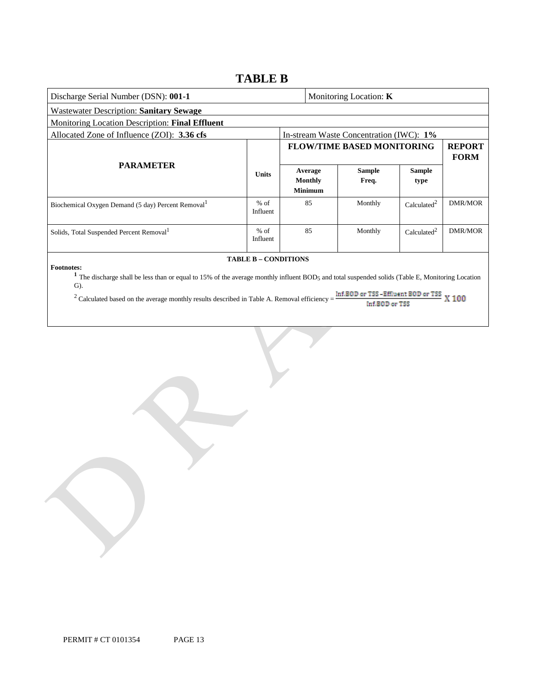# **TABLE B**

| Discharge Serial Number (DSN): 001-1                                                                                                                                                                                  |                    |                                             |  | Monitoring Location: $K$          |                         |                              |  |
|-----------------------------------------------------------------------------------------------------------------------------------------------------------------------------------------------------------------------|--------------------|---------------------------------------------|--|-----------------------------------|-------------------------|------------------------------|--|
| Wastewater Description: Sanitary Sewage                                                                                                                                                                               |                    |                                             |  |                                   |                         |                              |  |
| Monitoring Location Description: Final Effluent                                                                                                                                                                       |                    |                                             |  |                                   |                         |                              |  |
| Allocated Zone of Influence (ZOI): 3.36 cfs<br>In-stream Waste Concentration (IWC): 1%                                                                                                                                |                    |                                             |  |                                   |                         |                              |  |
| <b>PARAMETER</b>                                                                                                                                                                                                      |                    |                                             |  | <b>FLOW/TIME BASED MONITORING</b> |                         | <b>REPORT</b><br><b>FORM</b> |  |
|                                                                                                                                                                                                                       |                    | Average<br><b>Monthly</b><br><b>Minimum</b> |  | <b>Sample</b><br>Freq.            | <b>Sample</b><br>type   |                              |  |
| Biochemical Oxygen Demand (5 day) Percent Removal <sup>1</sup>                                                                                                                                                        | $%$ of<br>Influent | 85                                          |  | Monthly                           | Calculated <sup>2</sup> | <b>DMR/MOR</b>               |  |
| Solids, Total Suspended Percent Removal <sup>1</sup>                                                                                                                                                                  | $%$ of<br>Influent | 85                                          |  | Monthly                           | Calculated <sup>2</sup> | <b>DMR/MOR</b>               |  |
| <b>TABLE B - CONDITIONS</b><br><b>Footnotes:</b><br>The discharge shall be less than or equal to 15% of the average monthly influent BOD5 and total suspended solids (Table E, Monitoring Location<br>$\mathbf{G}$ ). |                    |                                             |  |                                   |                         |                              |  |

<sup>2</sup> Calculated based on the average monthly results described in Table A. Removal efficiency =

Inf.B0D or TSS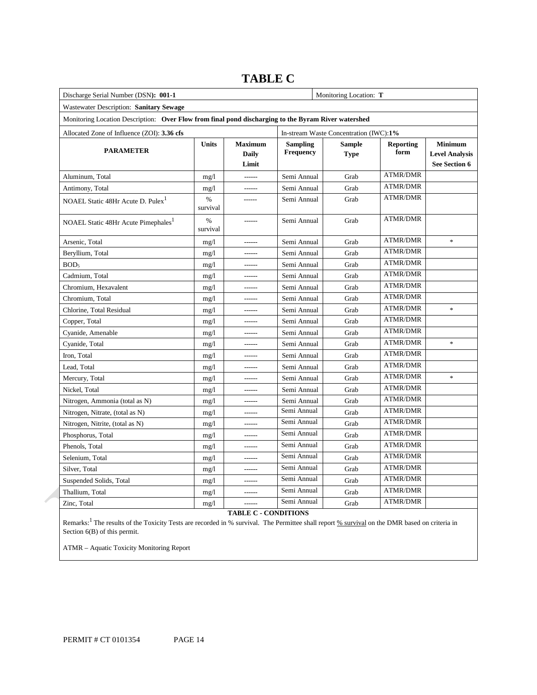| Discharge Serial Number (DSN): 001-1                                                                |                  |                                         | Monitoring Location: T              |                                        |                          |                                                          |
|-----------------------------------------------------------------------------------------------------|------------------|-----------------------------------------|-------------------------------------|----------------------------------------|--------------------------|----------------------------------------------------------|
| Wastewater Description: Sanitary Sewage                                                             |                  |                                         |                                     |                                        |                          |                                                          |
| Monitoring Location Description: Over Flow from final pond discharging to the Byram River watershed |                  |                                         |                                     |                                        |                          |                                                          |
| Allocated Zone of Influence (ZOI): 3.36 cfs                                                         |                  |                                         |                                     | In-stream Waste Concentration (IWC):1% |                          |                                                          |
| <b>PARAMETER</b>                                                                                    | <b>Units</b>     | <b>Maximum</b><br><b>Daily</b><br>Limit | <b>Sampling</b><br><b>Frequency</b> | <b>Sample</b><br><b>Type</b>           | <b>Reporting</b><br>form | <b>Minimum</b><br><b>Level Analysis</b><br>See Section 6 |
| Aluminum, Total                                                                                     | mg/1             | ------                                  | Semi Annual                         | Grab                                   | <b>ATMR/DMR</b>          |                                                          |
| Antimony, Total                                                                                     | mg/1             | ------                                  | Semi Annual                         | Grab                                   | <b>ATMR/DMR</b>          |                                                          |
| NOAEL Static 48Hr Acute D. Pulex <sup>1</sup>                                                       | $\%$<br>survival | ------                                  | Semi Annual                         | Grab                                   | <b>ATMR/DMR</b>          |                                                          |
| NOAEL Static 48Hr Acute Pimephales <sup>1</sup>                                                     | $\%$<br>survival | ------                                  | Semi Annual                         | Grab                                   | <b>ATMR/DMR</b>          |                                                          |
| Arsenic, Total                                                                                      | mg/1             |                                         | Semi Annual                         | Grab                                   | <b>ATMR/DMR</b>          | $\frac{1}{2}$                                            |
| Beryllium, Total                                                                                    | mg/1             | ------                                  | Semi Annual                         | Grab                                   | <b>ATMR/DMR</b>          |                                                          |
| BOD <sub>5</sub>                                                                                    | mg/1             | ------                                  | Semi Annual                         | Grab                                   | <b>ATMR/DMR</b>          |                                                          |
| Cadmium, Total                                                                                      | mg/1             | ------                                  | Semi Annual                         | Grab                                   | <b>ATMR/DMR</b>          |                                                          |
| Chromium, Hexavalent                                                                                | mg/1             | ------                                  | Semi Annual                         | Grab                                   | <b>ATMR/DMR</b>          |                                                          |
| Chromium, Total                                                                                     | mg/1             | ------                                  | Semi Annual                         | Grab                                   | <b>ATMR/DMR</b>          |                                                          |
| Chlorine, Total Residual                                                                            | mg/1             | ------                                  | Semi Annual                         | Grab                                   | <b>ATMR/DMR</b>          | $\ast$                                                   |
| Copper, Total                                                                                       | mg/1             | ------                                  | Semi Annual                         | Grab                                   | <b>ATMR/DMR</b>          |                                                          |
| Cyanide, Amenable                                                                                   | mg/1             | ------                                  | Semi Annual                         | Grab                                   | <b>ATMR/DMR</b>          |                                                          |
| Cyanide, Total                                                                                      | mg/1             | ------                                  | Semi Annual                         | Grab                                   | <b>ATMR/DMR</b>          | $\ast$                                                   |
| Iron, Total                                                                                         | mg/1             | ------                                  | Semi Annual                         | Grab                                   | <b>ATMR/DMR</b>          |                                                          |
| Lead, Total                                                                                         | mg/1             | ------                                  | Semi Annual                         | Grab                                   | <b>ATMR/DMR</b>          |                                                          |
| Mercury, Total                                                                                      | mg/1             | ------                                  | Semi Annual                         | Grab                                   | <b>ATMR/DMR</b>          | $\ast$                                                   |
| Nickel, Total                                                                                       | mg/1             | ------                                  | Semi Annual                         | Grab                                   | ATMR/DMR                 |                                                          |
| Nitrogen, Ammonia (total as N)                                                                      | mg/1             | ------                                  | Semi Annual                         | Grab                                   | <b>ATMR/DMR</b>          |                                                          |
| Nitrogen, Nitrate, (total as N)                                                                     | mg/1             | ------                                  | Semi Annual                         | Grab                                   | <b>ATMR/DMR</b>          |                                                          |
| Nitrogen, Nitrite, (total as N)                                                                     | mg/1             | ------                                  | Semi Annual                         | Grab                                   | <b>ATMR/DMR</b>          |                                                          |
| Phosphorus, Total                                                                                   | mg/1             | ------                                  | Semi Annual                         | Grab                                   | <b>ATMR/DMR</b>          |                                                          |
| Phenols, Total                                                                                      | mg/1             | ------                                  | Semi Annual                         | Grab                                   | <b>ATMR/DMR</b>          |                                                          |
| Selenium, Total                                                                                     | mg/1             | ------                                  | Semi Annual                         | Grab                                   | <b>ATMR/DMR</b>          |                                                          |
| Silver, Total                                                                                       | mg/1             | -------                                 | Semi Annual                         | Grab                                   | <b>ATMR/DMR</b>          |                                                          |
| Suspended Solids, Total                                                                             | mg/1             | ------                                  | Semi Annual                         | Grab                                   | <b>ATMR/DMR</b>          |                                                          |
| Thallium, Total                                                                                     | mg/1             | $1 - 1 - 1 - 1$                         | Semi Annual                         | Grab                                   | <b>ATMR/DMR</b>          |                                                          |
| Zinc, Total                                                                                         | mg/1             | ------                                  | Semi Annual                         | Grab                                   | <b>ATMR/DMR</b>          |                                                          |

# **TABLE C**

**TABLE C - CONDITIONS** 

Remarks:<sup>1</sup> The results of the Toxicity Tests are recorded in % survival. The Permittee shall report % survival on the DMR based on criteria in Section 6(B) of this permit.

ATMR – Aquatic Toxicity Monitoring Report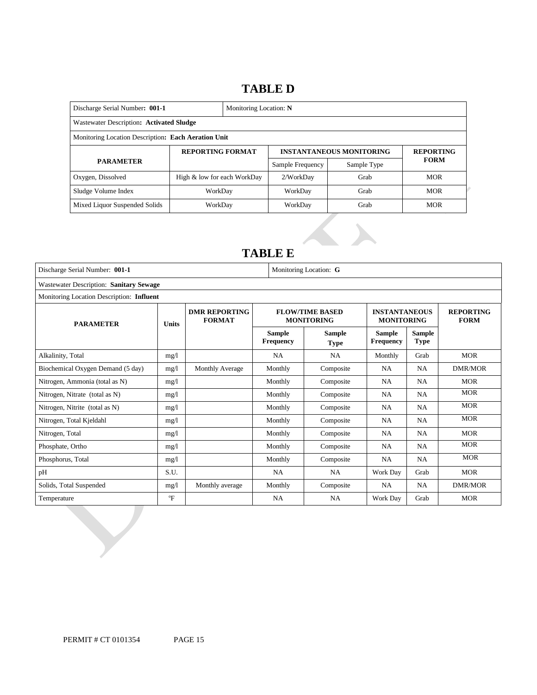# **TABLE D**

| Discharge Serial Number: 001-1<br>Monitoring Location: N |                             |  |                  |                                 |                  |  |
|----------------------------------------------------------|-----------------------------|--|------------------|---------------------------------|------------------|--|
| Wastewater Description: Activated Sludge                 |                             |  |                  |                                 |                  |  |
| Monitoring Location Description: Each Aeration Unit      |                             |  |                  |                                 |                  |  |
| <b>REPORTING FORMAT</b>                                  |                             |  |                  | <b>INSTANTANEOUS MONITORING</b> | <b>REPORTING</b> |  |
| <b>PARAMETER</b>                                         |                             |  | Sample Frequency | Sample Type                     | <b>FORM</b>      |  |
| Oxygen, Dissolved                                        | High & low for each WorkDay |  | 2/WorkDay        | Grab                            | <b>MOR</b>       |  |
| Sludge Volume Index                                      | WorkDay                     |  | WorkDay          | Grab                            | <b>MOR</b>       |  |
| Mixed Liquor Suspended Solids                            | WorkDay                     |  | WorkDay          | Grab                            | <b>MOR</b>       |  |

# **TABLE E**

| Wastewater Description: Sanitary Sewage   |                  |                                       |                                   |                                             |                                           |                                 |                |
|-------------------------------------------|------------------|---------------------------------------|-----------------------------------|---------------------------------------------|-------------------------------------------|---------------------------------|----------------|
| Monitoring Location Description: Influent |                  |                                       |                                   |                                             |                                           |                                 |                |
| <b>PARAMETER</b>                          | <b>Units</b>     | <b>DMR REPORTING</b><br><b>FORMAT</b> |                                   | <b>FLOW/TIME BASED</b><br><b>MONITORING</b> | <b>INSTANTANEOUS</b><br><b>MONITORING</b> | <b>REPORTING</b><br><b>FORM</b> |                |
|                                           |                  |                                       | <b>Sample</b><br><b>Frequency</b> | <b>Sample</b><br><b>Type</b>                | <b>Sample</b><br><b>Frequency</b>         | <b>Sample</b><br><b>Type</b>    |                |
| Alkalinity, Total                         | mg/l             |                                       | <b>NA</b>                         | <b>NA</b>                                   | Monthly                                   | Grab                            | <b>MOR</b>     |
| Biochemical Oxygen Demand (5 day)         | mg/l             | <b>Monthly Average</b>                | Monthly                           | Composite                                   | <b>NA</b>                                 | NA                              | <b>DMR/MOR</b> |
| Nitrogen, Ammonia (total as N)            | mg/l             |                                       | Monthly                           | Composite                                   | <b>NA</b>                                 | <b>NA</b>                       | <b>MOR</b>     |
| Nitrogen, Nitrate (total as N)            | mg/1             |                                       | Monthly                           | Composite                                   | <b>NA</b>                                 | <b>NA</b>                       | <b>MOR</b>     |
| Nitrogen, Nitrite (total as N)            | mg/l             |                                       | Monthly                           | Composite                                   | <b>NA</b>                                 | <b>NA</b>                       | <b>MOR</b>     |
| Nitrogen, Total Kjeldahl                  | mg/l             |                                       | Monthly                           | Composite                                   | <b>NA</b>                                 | <b>NA</b>                       | <b>MOR</b>     |
| Nitrogen, Total                           | mg/1             |                                       | Monthly                           | Composite                                   | <b>NA</b>                                 | <b>NA</b>                       | <b>MOR</b>     |
| Phosphate, Ortho                          | mg/l             |                                       | Monthly                           | Composite                                   | NA                                        | <b>NA</b>                       | <b>MOR</b>     |
| Phosphorus, Total                         | mg/l             |                                       | Monthly                           | Composite                                   | <b>NA</b>                                 | <b>NA</b>                       | <b>MOR</b>     |
| pH                                        | S.U.             |                                       | NA.                               | NA.                                         | Work Day                                  | Grab                            | <b>MOR</b>     |
| Solids, Total Suspended                   | mg/1             | Monthly average                       | Monthly                           | Composite                                   | NA                                        | <b>NA</b>                       | <b>DMR/MOR</b> |
| Temperature                               | $\mathrm{^{o}F}$ |                                       | <b>NA</b>                         | <b>NA</b>                                   | Work Day                                  | Grab                            | <b>MOR</b>     |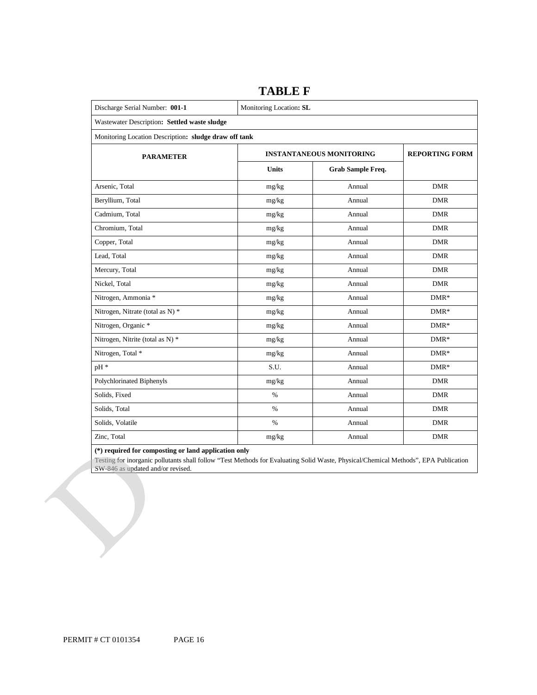| Discharge Serial Number: 001-1                        | Monitoring Location: SL |                                 |            |  |  |  |
|-------------------------------------------------------|-------------------------|---------------------------------|------------|--|--|--|
| Wastewater Description: Settled waste sludge          |                         |                                 |            |  |  |  |
| Monitoring Location Description: sludge draw off tank |                         |                                 |            |  |  |  |
| <b>PARAMETER</b>                                      |                         | <b>INSTANTANEOUS MONITORING</b> |            |  |  |  |
|                                                       | <b>Units</b>            | Grab Sample Freq.               |            |  |  |  |
| Arsenic, Total                                        | mg/kg                   | Annual                          | <b>DMR</b> |  |  |  |
| Beryllium, Total                                      | mg/kg                   | Annual                          | <b>DMR</b> |  |  |  |
| Cadmium, Total                                        | mg/kg                   | Annual                          | <b>DMR</b> |  |  |  |
| Chromium. Total                                       | mg/kg                   | Annual                          | <b>DMR</b> |  |  |  |
| Copper, Total                                         | mg/kg                   | Annual                          | <b>DMR</b> |  |  |  |
| Lead, Total                                           | mg/kg                   | Annual                          | <b>DMR</b> |  |  |  |
| Mercury, Total                                        | mg/kg                   | Annual                          | <b>DMR</b> |  |  |  |
| Nickel, Total                                         | mg/kg                   | Annual                          | <b>DMR</b> |  |  |  |
| Nitrogen, Ammonia *                                   | mg/kg                   | Annual                          | $DMR*$     |  |  |  |
| Nitrogen, Nitrate (total as N) *                      | mg/kg                   | Annual                          | $DMR*$     |  |  |  |
| Nitrogen, Organic *                                   | mg/kg                   | Annual                          | $DMR*$     |  |  |  |
| Nitrogen, Nitrite (total as N) *                      | mg/kg                   | Annual                          | $DMR*$     |  |  |  |
| Nitrogen, Total *                                     | mg/kg                   | Annual                          | $DMR*$     |  |  |  |
| $pH*$                                                 | S.U.                    | Annual                          | $DMR*$     |  |  |  |
| Polychlorinated Biphenyls                             | mg/kg                   | Annual                          | <b>DMR</b> |  |  |  |
| Solids, Fixed                                         | $\%$                    | Annual                          | <b>DMR</b> |  |  |  |
| Solids, Total                                         | $\%$                    | Annual                          | <b>DMR</b> |  |  |  |
| Solids, Volatile                                      | $\%$                    | Annual                          | <b>DMR</b> |  |  |  |
| Zinc, Total                                           | mg/kg                   | Annual                          | <b>DMR</b> |  |  |  |

## **TABLE F**

**(\*) required for composting or land application only** 

Testing for inorganic pollutants shall follow "Test Methods for Evaluating Solid Waste, Physical/Chemical Methods", EPA Publication SW-846 as updated and/or revised.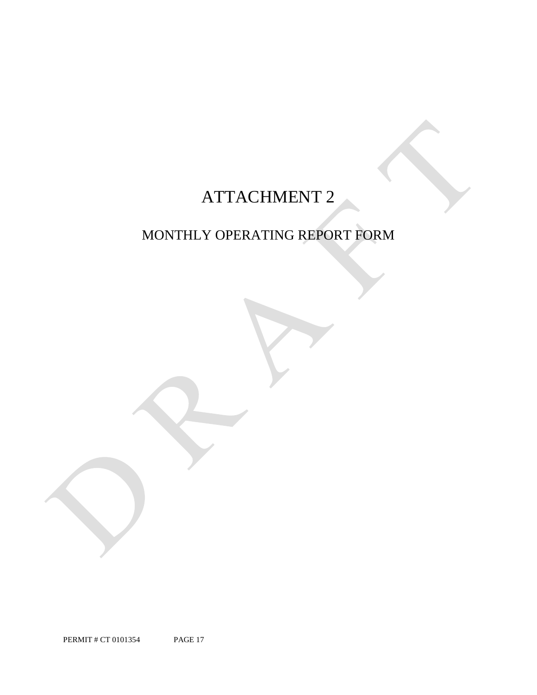# ATTACHMENT 2

# MONTHLY OPERATING REPORT FORM

PERMIT # CT 0101354 PAGE 17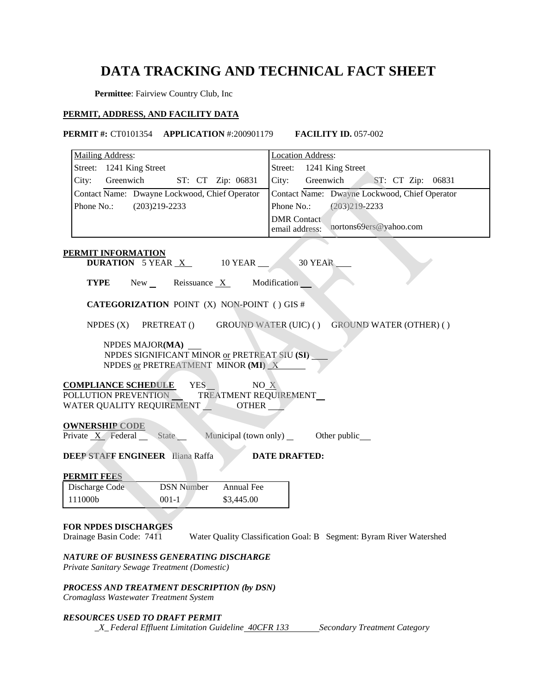# **DATA TRACKING AND TECHNICAL FACT SHEET**

**Permittee**: Fairview Country Club, Inc

### **PERMIT, ADDRESS, AND FACILITY DATA**

 **PERMIT #:** CT0101354 **APPLICATION** #:200901179 **FACILITY ID.** 057-002

| Mailing Address:                                                                                                                  | <b>Location Address:</b>                                            |
|-----------------------------------------------------------------------------------------------------------------------------------|---------------------------------------------------------------------|
| Street: 1241 King Street                                                                                                          | 1241 King Street<br>Street:                                         |
| City:<br>Greenwich<br>ST: CT Zip: 06831                                                                                           | City:<br>Greenwich<br>ST: CT Zip:<br>06831                          |
| Contact Name: Dwayne Lockwood, Chief Operator                                                                                     | Contact Name: Dwayne Lockwood, Chief Operator                       |
| Phone No.:<br>$(203)219 - 2233$                                                                                                   | Phone No.:<br>$(203)219 - 2233$                                     |
|                                                                                                                                   | <b>DMR</b> Contact<br>nortons69ers@yahoo.com                        |
|                                                                                                                                   | email address:                                                      |
| PERMIT INFORMATION                                                                                                                |                                                                     |
| <b>DURATION</b> 5 YEAR <u>X</u><br>10 YEAR                                                                                        | 30 YEAR                                                             |
| <b>TYPE</b><br>$New_{\_}$<br>Reissuance $X$                                                                                       | Modification                                                        |
| <b>CATEGORIZATION POINT (X) NON-POINT () GIS #</b>                                                                                |                                                                     |
| NPDES $(X)$<br>PRETREAT ()                                                                                                        | <b>GROUND WATER (UIC) ()</b><br><b>GROUND WATER (OTHER) ()</b>      |
| NPDES MAJOR(MA)<br>NPDES SIGNIFICANT MINOR or PRETREAT SIU (SI)<br>NPDES or PRETREATMENT MINOR $(MI)$ $X$                         |                                                                     |
| YES_<br>NO X<br><b>COMPLIANCE SCHEDULE</b><br>POLLUTION PREVENTION<br>TREATMENT REQUIREMENT<br>WATER QUALITY REQUIREMENT<br>OTHER |                                                                     |
| <b>OWNERSHIP CODE</b><br>Private $X$ Federal<br>State<br>Municipal (town only)                                                    | Other public                                                        |
| <b>DEEP STAFF ENGINEER</b> Iliana Raffa                                                                                           | <b>DATE DRAFTED:</b>                                                |
| <b>PERMIT FEES</b>                                                                                                                |                                                                     |
| <b>DSN</b> Number<br>Annual Fee<br>Discharge Code                                                                                 |                                                                     |
| 111000b<br>$001-1$<br>\$3,445.00                                                                                                  |                                                                     |
|                                                                                                                                   |                                                                     |
| <b>FOR NPDES DISCHARGES</b><br>Drainage Basin Code: 7411                                                                          | Water Quality Classification Goal: B Segment: Byram River Watershed |
| NATURE OF BUSINESS GENERATING DISCHARGE<br>Private Sanitary Sewage Treatment (Domestic)                                           |                                                                     |
| PROCESS AND TREATMENT DESCRIPTION (by DSN)<br>Cromaglass Wastewater Treatment System                                              |                                                                     |

### *RESOURCES USED TO DRAFT PERMIT*

*\_X\_Federal Effluent Limitation Guideline <del>40CFR 133</del> Secondary Treatment Category*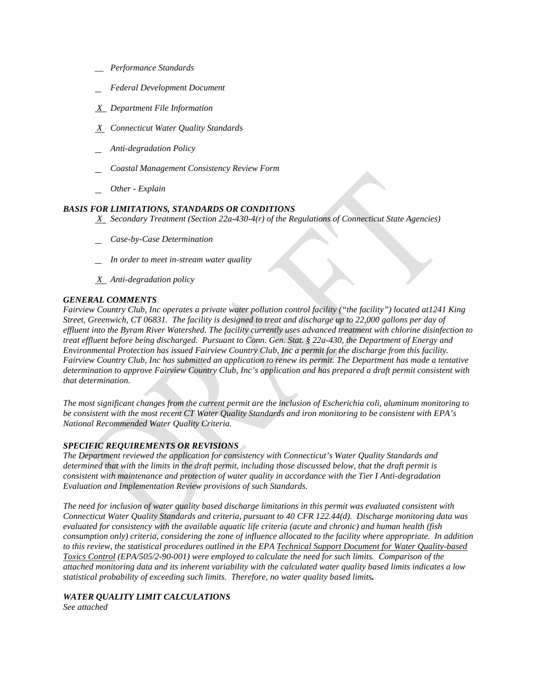- *\_\_ Performance Standards*
- *Federal Development Document*
- *X Department File Information*
- *X Connecticut Water Quality Standards*
- *Anti-degradation Policy*
- *Coastal Management Consistency Review Form*
- *Other - Explain*

### *BASIS FOR LIMITATIONS, STANDARDS OR CONDITIONS*

 *X Secondary Treatment (Section 22a-430-4(r) of the Regulations of Connecticut State Agencies)* 

- *Case-by-Case Determination*
- *In order to meet in-stream water quality*
- *X Anti-degradation policy*

### *GENERAL COMMENTS*

 *Street, Greenwich, CT 06831. The facility is designed to treat and discharge up to 22,000 gallons per day of*  Environmental Protection has issued Fairview Country Club, Inc a permit for the discharge from this facility. Environmental Protection has issued Fairview Country Club, Inc a permit for the discharge from this facility.<br>Fairview Country Club, Inc has submitted an application to renew its permit. The Department has made a tentative *that determination. Fairview Country Club, Inc operates a private water pollution control facility ("the facility") located at1241 King effluent into the Byram River Watershed. The facility currently uses advanced treatment with chlorine disinfection to treat effluent before being discharged. Pursuant to Conn. Gen. Stat. § 22a-430, the Department of Energy and determination to approve Fairview Country Club, Inc's application and has prepared a draft permit consistent with* 

*that determination. The most significant changes from the current permit are the inclusion of Escherichia coli, aluminum monitoring to be consistent with the most recent CT Water Quality Standards and iron monitoring to be consistent with EPA's National Recommended Water Quality Criteria.* 

### *SPECIFIC REQUIREMENTS OR REVISIONS*

*The Department reviewed the application for consistency with Connecticut's Water Quality Standards and determined that with the limits in the draft permit, including those discussed below, that the draft permit is consistent with maintenance and protection of water quality in accordance with the Tier I Anti-degradation Evaluation and Implementation Review provisions of such Standards.* 

 *consumption only) criteria, considering the zone of influence allocated to the facility where appropriate. In addition to this review, the statistical procedures outlined in the EPA Technical Support Document for Water Quality-based The need for inclusion of water quality based discharge limitations in this permit was evaluated consistent with Connecticut Water Quality Standards and criteria, pursuant to 40 CFR 122.44(d). Discharge monitoring data was evaluated for consistency with the available aquatic life criteria (acute and chronic) and human health (fish Toxics Control (EPA/505/2-90-001) were employed to calculate the need for such limits. Comparison of the attached monitoring data and its inherent variability with the calculated water quality based limits indicates a low statistical probability of exceeding such limits. Therefore, no water quality based limits.* 

### *WATER QUALITY LIMIT CALCULATIONS*

*See attached*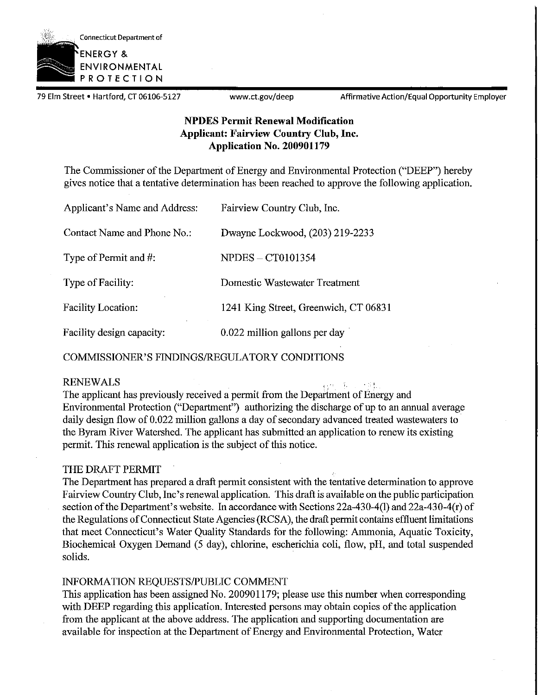

79 Elm Street • Hartford, CT 06106-5127 www.ct.gov/deep Affirmative Action/Equal Opportunity Employer

## **NPDES Permit Renewal Modification Applicant: Fairview Country Club, Inc. Application No. 200901179**

The Commissioner of the Department of Energy and Environmental Protection ("DEEP") hereby gives notice that a tentative determination has been reached to approve the following application.

| Applicant's Name and Address: | Fairview Country Club, Inc.           |
|-------------------------------|---------------------------------------|
| Contact Name and Phone No.:   | Dwayne Lockwood, (203) 219-2233       |
| Type of Permit and #:         | <b>NPDES - CT0101354</b>              |
| Type of Facility:             | Domestic Wastewater Treatment         |
| <b>Facility Location:</b>     | 1241 King Street, Greenwich, CT 06831 |
| Facility design capacity:     | 0.022 million gallons per day         |

COMMISSIONER'S FINDINGS/REGULATORY CONDITIONS

RENEWALS I-' . . ..' The applicant has previously received a permit from the Department of Energy and Environmental Protection ("Department") authorizing the discharge of up to an annual average daily design flow of 0.022 million gallons a day of secondary advanced treated wastewaters to the Byram River Watershed. The applicant has submitted an application to renew its existing permit. This renewal application is the subject of this notice.

### THE DRAFT PERMIT

The Department has prepared a draft permit consistent with the tentative determination to approve Fairview Country Club, Inc's renewal application. This draft is available on the public participation section of the Department's website. In accordance with Sections  $22a-430-4(1)$  and  $22a-430-4(r)$  of the Regulations of Connecticut State Agencies (RCSA), the draft permit contains effluent limitations that meet Connecticut's Water Quality Standards for the following: Ammonia, Aquatic Toxicity, Biochemical Oxygen Demand (5 day), chlorine, escherichia coli, flow, pH, and total suspended solids.

### INFORMATION REQUESTS/PUBLIC COMMENT

This application has been assigned No. 200901179; please use this number when corresponding with DEEP regarding this application. Interested persons may obtain copies of the application from the applicant at the above address. The application and supporting documentation are available for inspection at the Department of Energy and Environmental Protection, Water